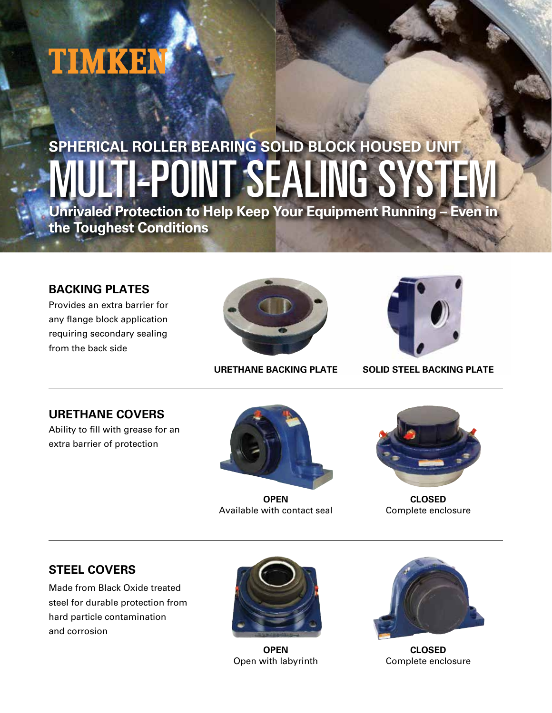# TIMKEN

## -POINT SEALING SY **SPHERICAL ROLLER BEARING SOLID BLOCK HOUSED UNIT**

**Unrivaled Protection to Help Keep Your Equipment Running – Even in the Toughest Conditions**

#### **BACKING PLATES**

Provides an extra barrier for any flange block application requiring secondary sealing from the back side





**URETHANE BACKING PLATE SOLID STEEL BACKING PLATE**

**URETHANE COVERS**

Ability to fill with grease for an extra barrier of protection



**OPEN** Available with contact seal



**CLOSED** Complete enclosure

### **STEEL COVERS**

Made from Black Oxide treated steel for durable protection from hard particle contamination and corrosion



**OPEN** Open with labyrinth



**CLOSED** Complete enclosure